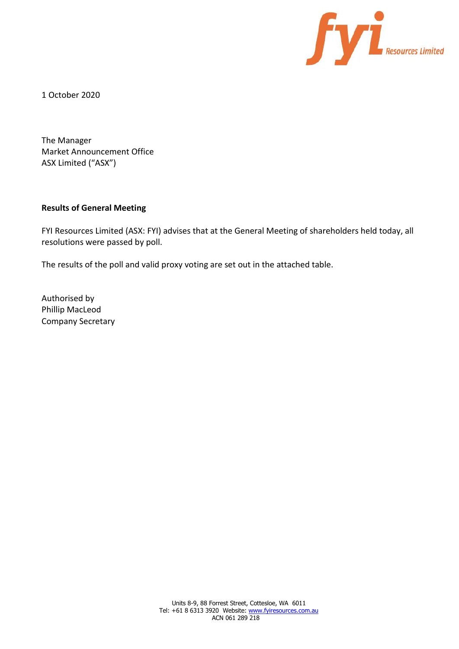

1 October 2020

The Manager Market Announcement Office ASX Limited ("ASX")

## **Results of General Meeting**

FYI Resources Limited (ASX: FYI) advises that at the General Meeting of shareholders held today, all resolutions were passed by poll.

The results of the poll and valid proxy voting are set out in the attached table.

Authorised by Phillip MacLeod Company Secretary